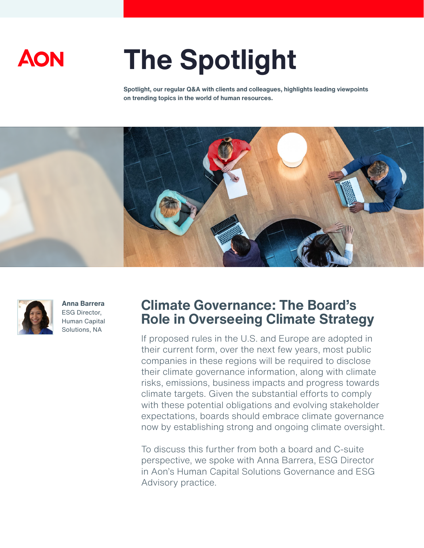

# **The Spotlight**

**Spotlight, our regular Q&A with clients and colleagues, highlights leading viewpoints on trending topics in the world of human resources.** 





**Anna Barrera** ESG Director, Human Capital Solutions, NA

# **Climate Governance: The Board's Role in Overseeing Climate Strategy**

If proposed rules in the U.S. and Europe are adopted in their current form, over the next few years, most public companies in these regions will be required to disclose their climate governance information, along with climate risks, emissions, business impacts and progress towards climate targets. Given the substantial efforts to comply with these potential obligations and evolving stakeholder expectations, boards should embrace climate governance now by establishing strong and ongoing climate oversight.

To discuss this further from both a board and C-suite perspective, we spoke with Anna Barrera, ESG Director in Aon's Human Capital Solutions Governance and ESG Advisory practice.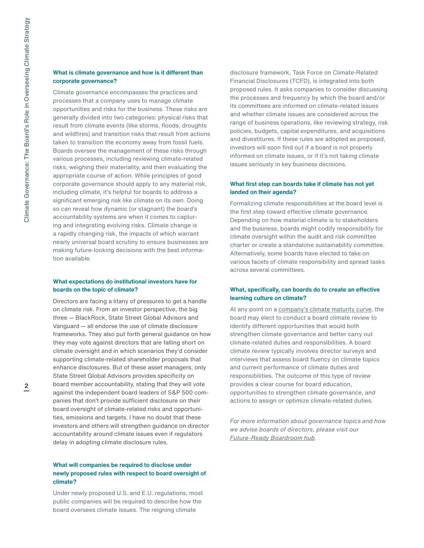#### **What is climate governance and how is it different than corporate governance?**

Climate governance encompasses the practices and processes that a company uses to manage climate opportunities and risks for the business. These risks are generally divided into two categories: physical risks that result from climate events (like storms, floods, droughts and wildfires) and transition risks that result from actions taken to transition the economy away from fossil fuels. Boards oversee the management of these risks through various processes, including reviewing climate-related risks, weighing their materiality, and then evaluating the appropriate course of action. While principles of good corporate governance should apply to any material risk, including climate, it's helpful for boards to address a significant emerging risk like climate on its own. Doing so can reveal how dynamic (or stagnant) the board's accountability systems are when it comes to capturing and integrating evolving risks. Climate change is a rapidly changing risk, the impacts of which warrant nearly universal board scrutiny to ensure businesses are making future-looking decisions with the best information available.

## **What expectations do institutional investors have for boards on the topic of climate?**

Directors are facing a litany of pressures to get a handle on climate risk. From an investor perspective, the big three — BlackRock, State Street Global Advisors and Vanguard — all endorse the use of climate disclosure frameworks. They also put forth general guidance on how they may vote against directors that are falling short on climate oversight and in which scenarios they'd consider supporting climate-related shareholder proposals that enhance disclosures. But of these asset managers, only State Street Global Advisors provides specificity on board member accountability, stating that they will vote against the independent board leaders of S&P 500 companies that don't provide sufficient disclosure on their board oversight of climate-related risks and opportunities, emissions and targets. I have no doubt that these investors and others will strengthen guidance on director accountability around climate issues even if regulators delay in adopting climate disclosure rules.

# **What will companies be required to disclose under newly proposed rules with respect to board oversight of climate?**

Under newly proposed U.S. and E.U. regulations, most public companies will be required to describe how the board oversees climate issues. The reigning climate

disclosure framework, Task Force on Climate-Related Financial Disclosures (TCFD), is integrated into both proposed rules. It asks companies to consider discussing the processes and frequency by which the board and/or its committees are informed on climate-related issues and whether climate issues are considered across the range of business operations, like reviewing strategy, risk policies, budgets, capital expenditures, and acquisitions and divestitures. If these rules are adopted as proposed, investors will soon find out if a board is not properly informed on climate issues, or if it's not taking climate issues seriously in key business decisions.

#### **What first step can boards take if climate has not yet landed on their agenda?**

Formalizing climate responsibilities at the board level is the first step toward effective climate governance. Depending on how material climate is to stakeholders and the business, boards might codify responsibility for climate oversight within the audit and risk committee charter or create a standalone sustainability committee. Alternatively, some boards have elected to take on various facets of climate responsibility and spread tasks across several committees.

#### **What, specifically, can boards do to create an effective learning culture on climate?**

At any point on a [company's climate maturity curve,](https://humancapital.aon.com/insights/articles/2022/assessing-your-companys-climate-maturity-a-three-step-strategy-to-address-new-climate-regulations-and-disclosure-standards) the board may elect to conduct a board climate review to identify different opportunities that would both strengthen climate governance and better carry out climate-related duties and responsibilities. A board climate review typically involves director surveys and interviews that assess board fluency on climate topics and current performance of climate duties and responsibilities. The outcome of this type of review provides a clear course for board education, opportunities to strengthen climate governance, and actions to assign or optimize climate-related duties.

*For more information about governance topics and how we advise boards of directors, please visit our [Future-Ready Boardroom hub.](https://humancapital.aon.com/insights/reports/trending-topics/future-ready-boardroom)*